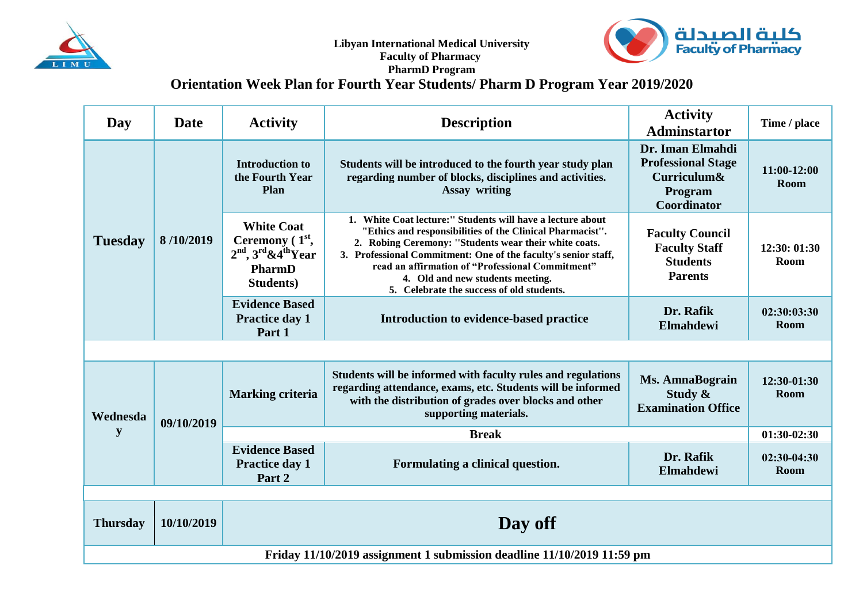



## **PharmD Program Orientation Week Plan for Fourth Year Students/ Pharm D Program Year 2019/2020**

| Day                                                                    | <b>Date</b> | <b>Activity</b>                                                                                     | <b>Activity</b><br><b>Description</b><br><b>Adminstartor</b>                                                                                                                                                                                                                                                                                                                                                                                                                   |                                                                | Time / place                 |  |  |  |  |
|------------------------------------------------------------------------|-------------|-----------------------------------------------------------------------------------------------------|--------------------------------------------------------------------------------------------------------------------------------------------------------------------------------------------------------------------------------------------------------------------------------------------------------------------------------------------------------------------------------------------------------------------------------------------------------------------------------|----------------------------------------------------------------|------------------------------|--|--|--|--|
| <b>Tuesday</b>                                                         | 8/10/2019   | <b>Introduction to</b><br>the Fourth Year<br><b>Plan</b>                                            | Dr. Iman Elmahdi<br><b>Professional Stage</b><br>Students will be introduced to the fourth year study plan<br>regarding number of blocks, disciplines and activities.<br>Curriculum&<br><b>Assay writing</b><br>Program<br>Coordinator                                                                                                                                                                                                                                         |                                                                | 11:00-12:00<br><b>Room</b>   |  |  |  |  |
|                                                                        |             | <b>White Coat</b><br>Ceremony $(1st,$<br>$2nd$ , $3rd$ &4 <sup>th</sup> Year<br>PharmD<br>Students) | 1. White Coat lecture:" Students will have a lecture about<br>"Ethics and responsibilities of the Clinical Pharmacist".<br><b>Faculty Council</b><br>2. Robing Ceremony: "Students wear their white coats.<br><b>Faculty Staff</b><br>3. Professional Commitment: One of the faculty's senior staff,<br><b>Students</b><br>read an affirmation of "Professional Commitment"<br><b>Parents</b><br>4. Old and new students meeting.<br>5. Celebrate the success of old students. |                                                                | 12:30: 01:30<br>Room         |  |  |  |  |
|                                                                        |             | <b>Evidence Based</b><br>Practice day 1<br>Part 1                                                   | Introduction to evidence-based practice                                                                                                                                                                                                                                                                                                                                                                                                                                        | Dr. Rafik<br>Elmahdewi                                         | 02:30:03:30<br>Room          |  |  |  |  |
|                                                                        |             |                                                                                                     |                                                                                                                                                                                                                                                                                                                                                                                                                                                                                |                                                                |                              |  |  |  |  |
| Wednesda<br>y                                                          | 09/10/2019  | <b>Marking criteria</b>                                                                             | Students will be informed with faculty rules and regulations<br>regarding attendance, exams, etc. Students will be informed<br>with the distribution of grades over blocks and other<br>supporting materials.                                                                                                                                                                                                                                                                  | <b>Ms. AmnaBograin</b><br>Study &<br><b>Examination Office</b> | 12:30-01:30<br>Room          |  |  |  |  |
|                                                                        |             | <b>Break</b>                                                                                        |                                                                                                                                                                                                                                                                                                                                                                                                                                                                                |                                                                |                              |  |  |  |  |
|                                                                        |             | <b>Evidence Based</b><br><b>Practice day 1</b><br>Part 2                                            | Formulating a clinical question.                                                                                                                                                                                                                                                                                                                                                                                                                                               | Dr. Rafik<br>Elmahdewi                                         | $02:30-04:30$<br><b>Room</b> |  |  |  |  |
|                                                                        |             |                                                                                                     |                                                                                                                                                                                                                                                                                                                                                                                                                                                                                |                                                                |                              |  |  |  |  |
| <b>Thursday</b>                                                        | 10/10/2019  | Day off                                                                                             |                                                                                                                                                                                                                                                                                                                                                                                                                                                                                |                                                                |                              |  |  |  |  |
| Friday 11/10/2019 assignment 1 submission deadline 11/10/2019 11:59 pm |             |                                                                                                     |                                                                                                                                                                                                                                                                                                                                                                                                                                                                                |                                                                |                              |  |  |  |  |